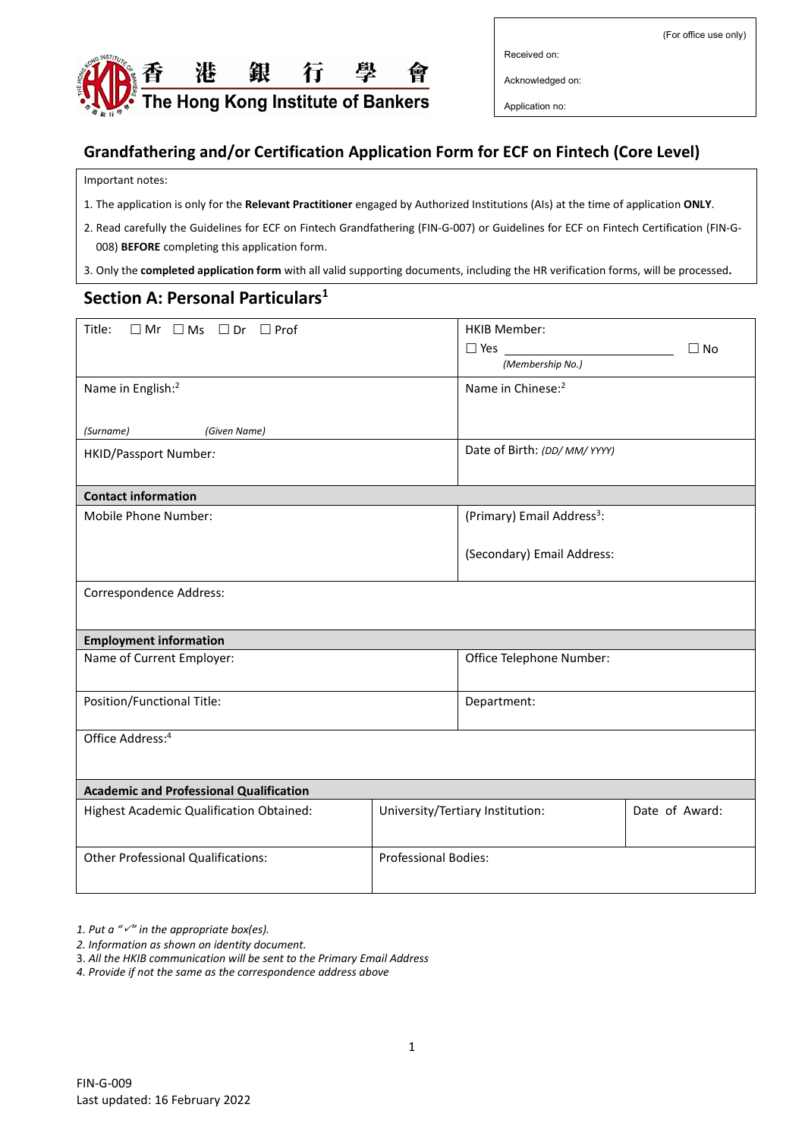



Received on:

Acknowledged on:

Application no:

#### **Grandfathering and/or Certification Application Form for ECF on Fintech (Core Level)**

#### Important notes:

- 1. The application is only for the **Relevant Practitioner** engaged by Authorized Institutions (AIs) at the time of application **ONLY**.
- 2. Read carefully the Guidelines for ECF on Fintech Grandfathering (FIN-G-007) or Guidelines for ECF on Fintech Certification (FIN-G-008) **BEFORE** completing this application form.
- 3. Only the **completed application form** with all valid supporting documents, including the HR verification forms, will be processed**.**

#### **Section A: Personal Particulars<sup>1</sup>**

| Title:<br>$\Box$ Mr $\Box$ Ms $\Box$ Dr $\Box$ Prof                      |                  | <b>HKIB Member:</b><br>$\Box$ Yes      | $\Box$ No      |  |  |
|--------------------------------------------------------------------------|------------------|----------------------------------------|----------------|--|--|
|                                                                          | (Membership No.) |                                        |                |  |  |
| Name in English: <sup>2</sup>                                            |                  | Name in Chinese: <sup>2</sup>          |                |  |  |
| (Surname)<br>(Given Name)                                                |                  |                                        |                |  |  |
| HKID/Passport Number:                                                    |                  | Date of Birth: (DD/MM/YYYY)            |                |  |  |
| <b>Contact information</b>                                               |                  |                                        |                |  |  |
| Mobile Phone Number:                                                     |                  | (Primary) Email Address <sup>3</sup> : |                |  |  |
|                                                                          |                  | (Secondary) Email Address:             |                |  |  |
| Correspondence Address:                                                  |                  |                                        |                |  |  |
| <b>Employment information</b>                                            |                  |                                        |                |  |  |
| Name of Current Employer:                                                |                  | Office Telephone Number:               |                |  |  |
| Position/Functional Title:                                               |                  | Department:                            |                |  |  |
| Office Address: <sup>4</sup>                                             |                  |                                        |                |  |  |
| <b>Academic and Professional Qualification</b>                           |                  |                                        |                |  |  |
| Highest Academic Qualification Obtained:                                 |                  | University/Tertiary Institution:       | Date of Award: |  |  |
| <b>Other Professional Qualifications:</b><br><b>Professional Bodies:</b> |                  |                                        |                |  |  |

*1. Put a "" in the appropriate box(es).*

*2. Information as shown on identity document.*

3. *All the HKIB communication will be sent to the Primary Email Address*

*4. Provide if not the same as the correspondence address above*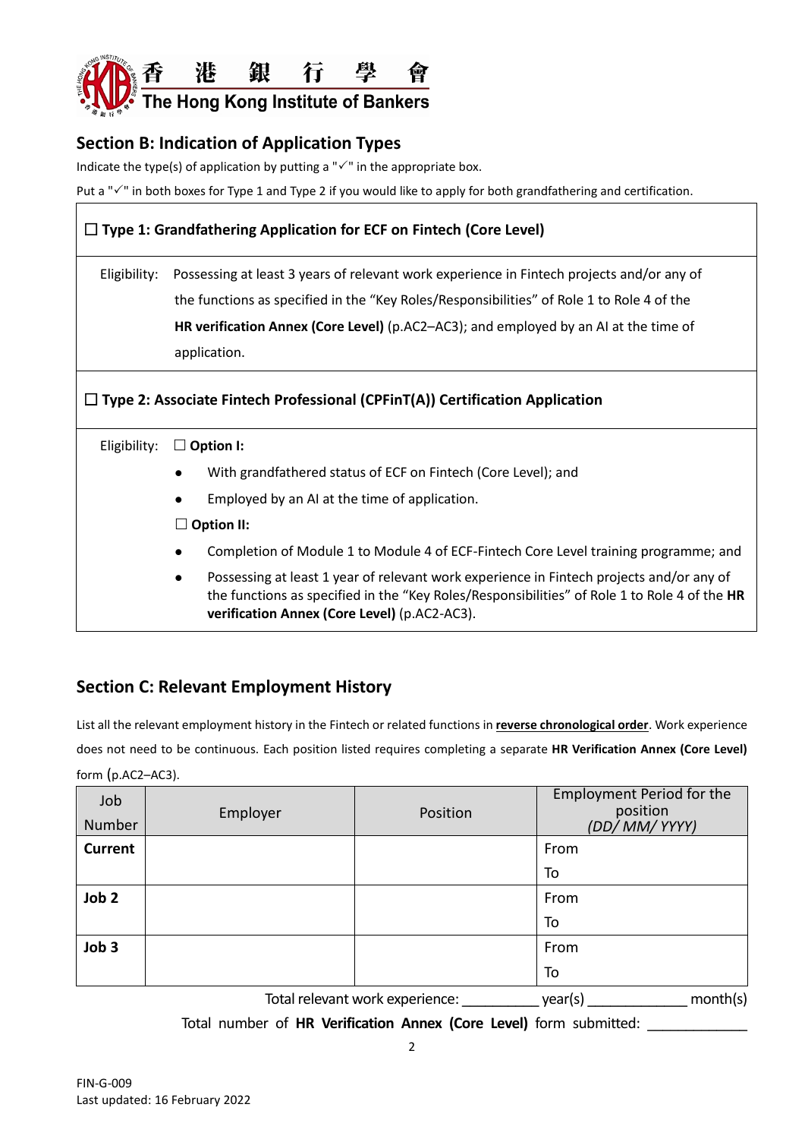

## **Section B: Indication of Application Types**

Indicate the type(s) of application by putting a " $\checkmark$ " in the appropriate box.

Put a " $\checkmark$ " in both boxes for Type 1 and Type 2 if you would like to apply for both grandfathering and certification.

| $\Box$ Type 1: Grandfathering Application for ECF on Fintech (Core Level) |                                                                                                                                                                                                                                          |  |  |  |  |  |
|---------------------------------------------------------------------------|------------------------------------------------------------------------------------------------------------------------------------------------------------------------------------------------------------------------------------------|--|--|--|--|--|
| Eligibility:                                                              | Possessing at least 3 years of relevant work experience in Fintech projects and/or any of                                                                                                                                                |  |  |  |  |  |
|                                                                           | the functions as specified in the "Key Roles/Responsibilities" of Role 1 to Role 4 of the                                                                                                                                                |  |  |  |  |  |
|                                                                           | <b>HR verification Annex (Core Level)</b> (p.AC2–AC3); and employed by an AI at the time of                                                                                                                                              |  |  |  |  |  |
|                                                                           | application.                                                                                                                                                                                                                             |  |  |  |  |  |
|                                                                           | $\Box$ Type 2: Associate Fintech Professional (CPFinT(A)) Certification Application                                                                                                                                                      |  |  |  |  |  |
| Eligibility:                                                              | $\Box$ Option I:                                                                                                                                                                                                                         |  |  |  |  |  |
|                                                                           | With grandfathered status of ECF on Fintech (Core Level); and                                                                                                                                                                            |  |  |  |  |  |
|                                                                           | Employed by an AI at the time of application.                                                                                                                                                                                            |  |  |  |  |  |
|                                                                           | <b>Option II:</b><br>⊔                                                                                                                                                                                                                   |  |  |  |  |  |
|                                                                           | Completion of Module 1 to Module 4 of ECF-Fintech Core Level training programme; and                                                                                                                                                     |  |  |  |  |  |
|                                                                           | Possessing at least 1 year of relevant work experience in Fintech projects and/or any of<br>the functions as specified in the "Key Roles/Responsibilities" of Role 1 to Role 4 of the HR<br>verification Annex (Core Level) (p.AC2-AC3). |  |  |  |  |  |

# **Section C: Relevant Employment History**

List all the relevant employment history in the Fintech or related functions in **reverse chronological order**. Work experience does not need to be continuous. Each position listed requires completing a separate **HR Verification Annex (Core Level)** form (p.AC2–AC3).

| Job<br>Number    | Employer | Position | <b>Employment Period for the</b><br>position<br>(DD/MM/YYYY) |
|------------------|----------|----------|--------------------------------------------------------------|
| <b>Current</b>   |          |          | From                                                         |
|                  |          |          | To                                                           |
| Job <sub>2</sub> |          |          | From                                                         |
|                  |          |          | To                                                           |
| Job 3            |          |          | From                                                         |
|                  |          |          | To                                                           |
|                  |          |          | $\mathbf{u}$ $\mathbf{u}$<br>$\sqrt{1}$                      |

Total relevant work experience: \_\_\_\_\_\_\_\_\_\_\_\_ year(s) \_\_\_\_\_\_\_\_\_\_\_\_\_\_\_\_\_ month(s)

Total number of HR Verification Annex (Core Level) form submitted: \_\_\_\_\_\_\_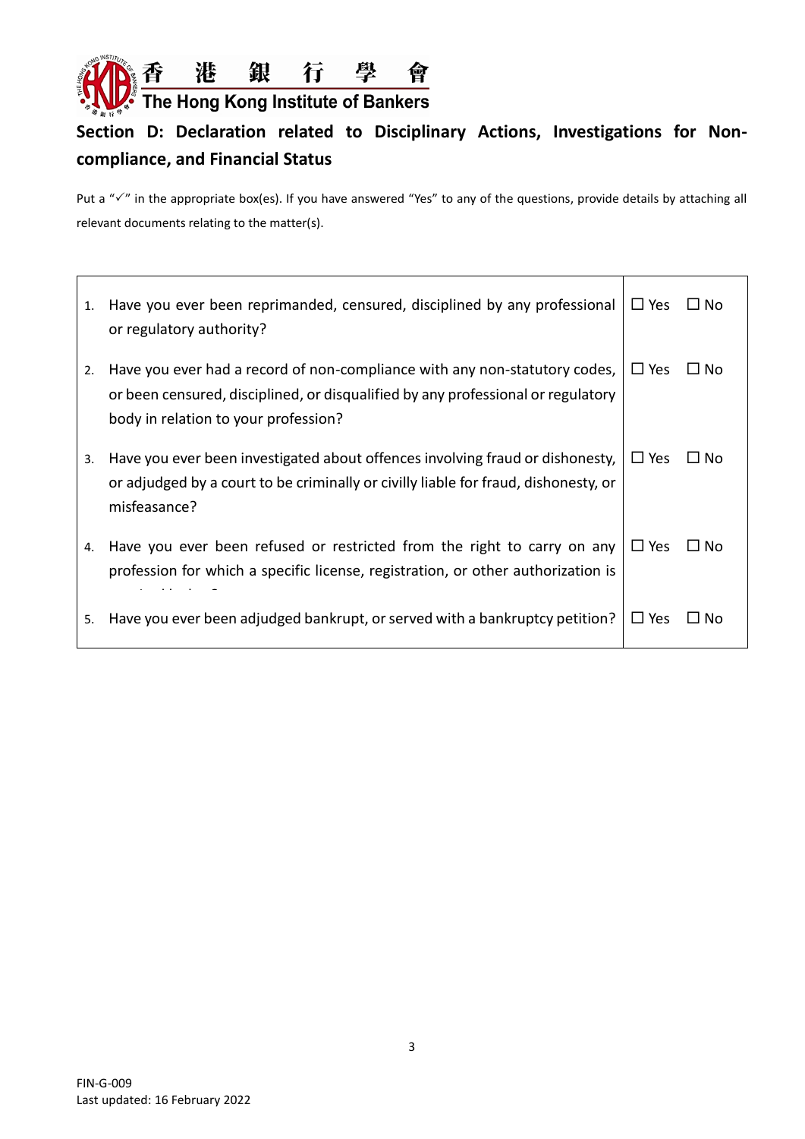

# **Section D: Declaration related to Disciplinary Actions, Investigations for Noncompliance, and Financial Status**

Put a " $\checkmark$ " in the appropriate box(es). If you have answered "Yes" to any of the questions, provide details by attaching all relevant documents relating to the matter(s).

٦

| 1. | Have you ever been reprimanded, censured, disciplined by any professional $\Box$ Yes<br>or regulatory authority?                                                                                         |               | $\Box$ No |
|----|----------------------------------------------------------------------------------------------------------------------------------------------------------------------------------------------------------|---------------|-----------|
| 2. | Have you ever had a record of non-compliance with any non-statutory codes,  <br>or been censured, disciplined, or disqualified by any professional or regulatory<br>body in relation to your profession? | $\Box$ Yes    | $\Box$ No |
| 3. | Have you ever been investigated about offences involving fraud or dishonesty,<br>or adjudged by a court to be criminally or civilly liable for fraud, dishonesty, or<br>misfeasance?                     | $\Box$ Yes    | $\Box$ No |
| 4. | Have you ever been refused or restricted from the right to carry on any<br>profession for which a specific license, registration, or other authorization is                                              | $\square$ Yes | $\Box$ No |
| 5. | Have you ever been adjudged bankrupt, or served with a bankruptcy petition?                                                                                                                              | $\Box$ Yes    | $\Box$ No |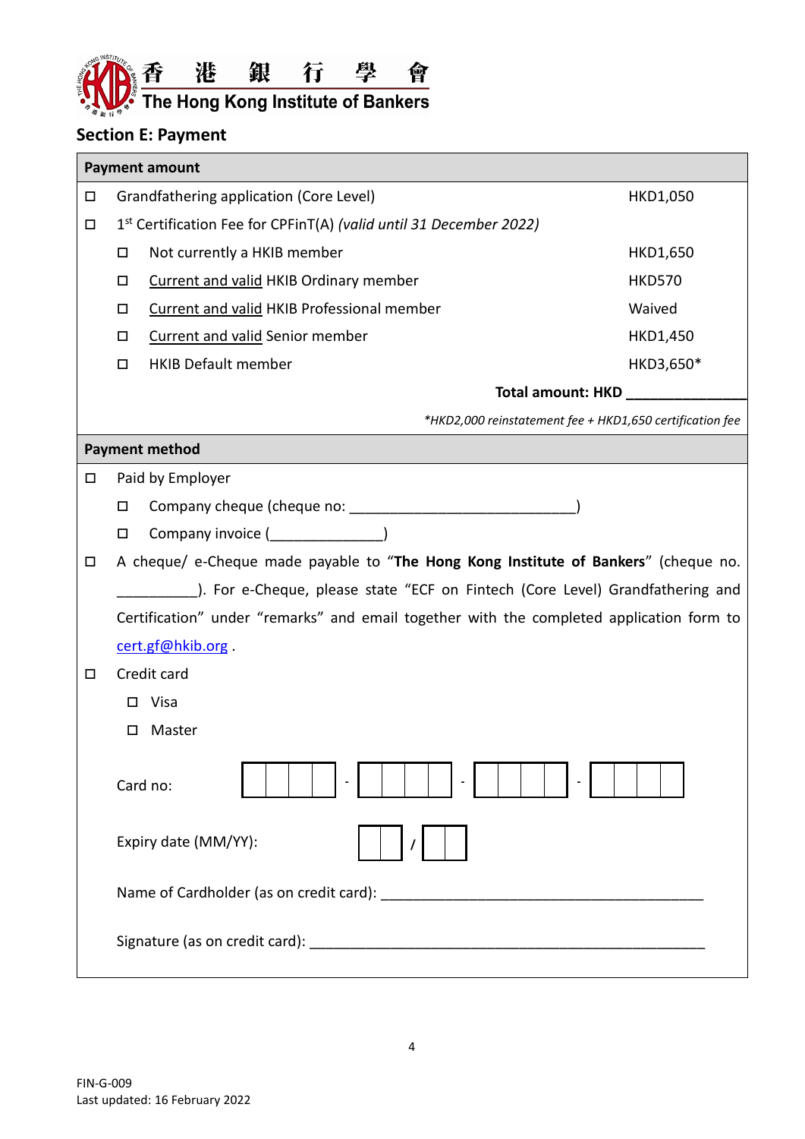

# **Section E: Payment**

|        |                                                                               | <b>Payment amount</b>                                                                                           |                 |  |  |
|--------|-------------------------------------------------------------------------------|-----------------------------------------------------------------------------------------------------------------|-----------------|--|--|
| $\Box$ |                                                                               | Grandfathering application (Core Level)                                                                         | HKD1,050        |  |  |
| □      | 1st Certification Fee for CPFinT(A) (valid until 31 December 2022)            |                                                                                                                 |                 |  |  |
|        | $\Box$                                                                        | Not currently a HKIB member                                                                                     | <b>HKD1,650</b> |  |  |
|        | □                                                                             | <b>Current and valid HKIB Ordinary member</b>                                                                   | <b>HKD570</b>   |  |  |
|        | $\Box$                                                                        | Current and valid HKIB Professional member                                                                      | Waived          |  |  |
|        | $\Box$                                                                        | <b>Current and valid Senior member</b>                                                                          | HKD1,450        |  |  |
|        | □                                                                             | <b>HKIB Default member</b>                                                                                      | HKD3,650*       |  |  |
|        |                                                                               | Total amount: HKD                                                                                               |                 |  |  |
|        |                                                                               | *HKD2,000 reinstatement fee + HKD1,650 certification fee                                                        |                 |  |  |
|        |                                                                               | <b>Payment method</b>                                                                                           |                 |  |  |
| $\Box$ |                                                                               | Paid by Employer                                                                                                |                 |  |  |
|        | П.                                                                            |                                                                                                                 |                 |  |  |
|        | $\Box$                                                                        | Company invoice (Service of the Company invoice (Service of the Company state of the Company state of the Compa |                 |  |  |
| $\Box$ |                                                                               | A cheque/ e-Cheque made payable to "The Hong Kong Institute of Bankers" (cheque no.                             |                 |  |  |
|        | ). For e-Cheque, please state "ECF on Fintech (Core Level) Grandfathering and |                                                                                                                 |                 |  |  |
|        |                                                                               | Certification" under "remarks" and email together with the completed application form to                        |                 |  |  |
|        |                                                                               | cert.gf@hkib.org.                                                                                               |                 |  |  |
| □      |                                                                               | Credit card                                                                                                     |                 |  |  |
|        | $\Box$                                                                        | Visa                                                                                                            |                 |  |  |
|        | □                                                                             | Master                                                                                                          |                 |  |  |
|        |                                                                               | Card no:                                                                                                        |                 |  |  |
|        |                                                                               | Expiry date (MM/YY):                                                                                            |                 |  |  |
|        |                                                                               |                                                                                                                 |                 |  |  |
|        |                                                                               |                                                                                                                 |                 |  |  |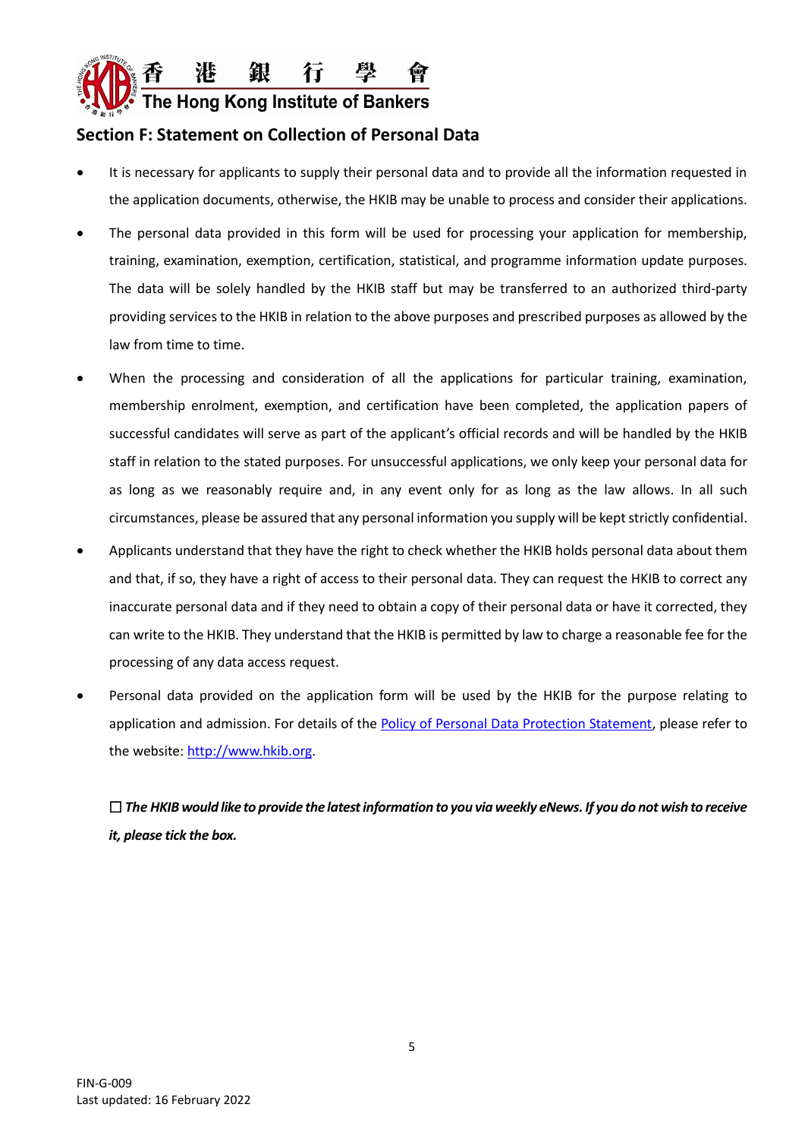

#### **Section F: Statement on Collection of Personal Data**

- It is necessary for applicants to supply their personal data and to provide all the information requested in the application documents, otherwise, the HKIB may be unable to process and consider their applications.
- The personal data provided in this form will be used for processing your application for membership, training, examination, exemption, certification, statistical, and programme information update purposes. The data will be solely handled by the HKIB staff but may be transferred to an authorized third-party providing services to the HKIB in relation to the above purposes and prescribed purposes as allowed by the law from time to time.
- When the processing and consideration of all the applications for particular training, examination, membership enrolment, exemption, and certification have been completed, the application papers of successful candidates will serve as part of the applicant's official records and will be handled by the HKIB staff in relation to the stated purposes. For unsuccessful applications, we only keep your personal data for as long as we reasonably require and, in any event only for as long as the law allows. In all such circumstances, please be assured that any personal information you supply will be kept strictly confidential.
- Applicants understand that they have the right to check whether the HKIB holds personal data about them and that, if so, they have a right of access to their personal data. They can request the HKIB to correct any inaccurate personal data and if they need to obtain a copy of their personal data or have it corrected, they can write to the HKIB. They understand that the HKIB is permitted by law to charge a reasonable fee for the processing of any data access request.
- Personal data provided on the application form will be used by the HKIB for the purpose relating to application and admission. For details of th[e Policy of Personal Data Protection Statement,](http://www.hkib.org/Content/en/materials/download/download_en20170412143347307.pdf) please refer to the website[: http://www.hkib.org.](http://www.hkib.org/)

 *The HKIB would like to provide the latest information to you via weekly eNews. If you do not wish to receive it, please tick the box.*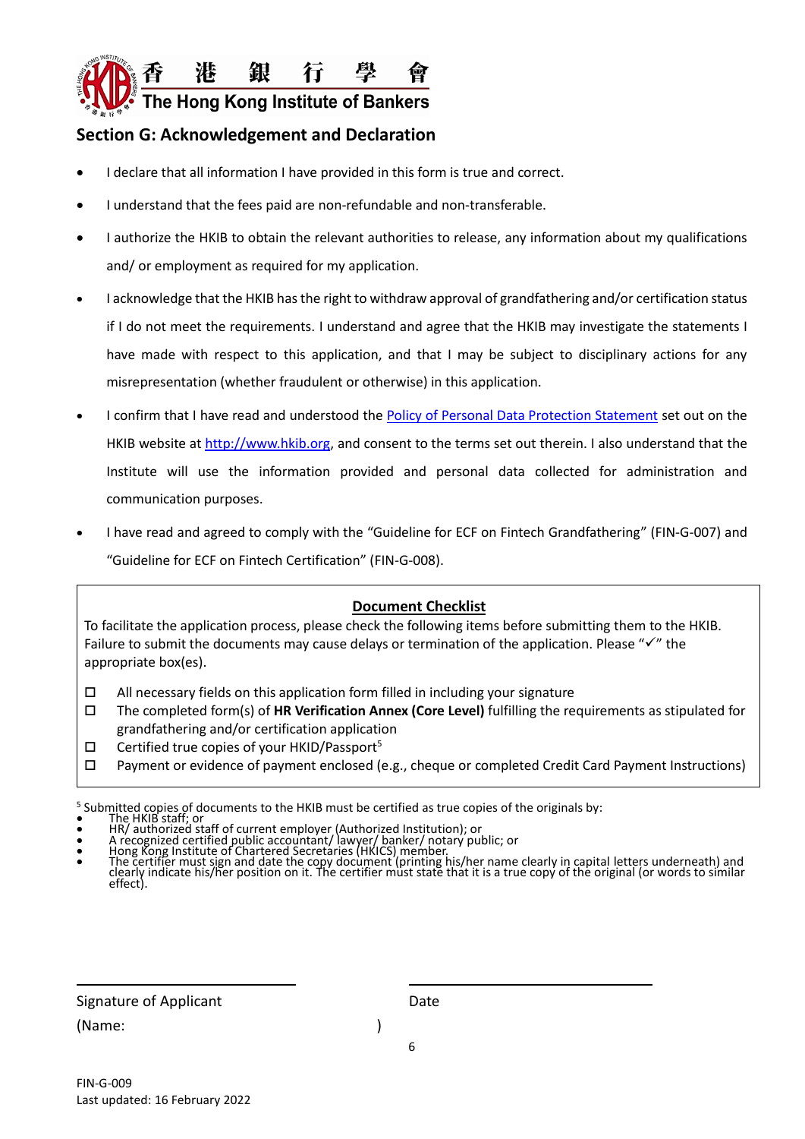

#### **Section G: Acknowledgement and Declaration**

- I declare that all information I have provided in this form is true and correct.
- I understand that the fees paid are non-refundable and non-transferable.
- I authorize the HKIB to obtain the relevant authorities to release, any information about my qualifications and/ or employment as required for my application.
- I acknowledge that the HKIB has the right to withdraw approval of grandfathering and/or certification status if I do not meet the requirements. I understand and agree that the HKIB may investigate the statements I have made with respect to this application, and that I may be subject to disciplinary actions for any misrepresentation (whether fraudulent or otherwise) in this application.
- I confirm that I have read and understood the [Policy of Personal Data Protection Statement](http://www.hkib.org/Content/en/materials/download/download_en20170412143347307.pdf) set out on the HKIB website at [http://www.hkib.org,](http://www.hkib.org/) and consent to the terms set out therein. I also understand that the Institute will use the information provided and personal data collected for administration and communication purposes.
- I have read and agreed to comply with the ["Guideline for ECF on Fintech Grandfathering"](https://www.hkma.gov.hk/media/eng/doc/key-information/guidelines-and-circular/2019/20190329e1.pdf) (FIN-G-007) and "Guideline for ECF on Fintech Certification" (FIN-G-008).

#### **Document Checklist**

To facilitate the application process, please check the following items before submitting them to the HKIB. Failure to submit the documents may cause delays or termination of the application. Please "✓" the appropriate box(es).

- $\Box$  All necessary fields on this application form filled in including your signature
- The completed form(s) of **HR Verification Annex (Core Level)** fulfilling the requirements as stipulated for grandfathering and/or certification application
- $\Box$  Certified true copies of your HKID/Passport<sup>5</sup>
- $\Box$  Payment or evidence of payment enclosed (e.g., cheque or completed Credit Card Payment Instructions)

 $\overline{a}$ 

<sup>&</sup>lt;sup>5</sup> Submitted copies of documents to the HKIB must be certified as true copies of the originals by:<br>• The HKIB staff; or

<sup>•</sup> HR/ authorized staff of current employer (Authorized Institution); or • A recognized certified public accountant/ lawyer/ banker/ notary public; or

<sup>•</sup> Hong Kong Institute of Chartered Secretaries (HKICS) member.

<sup>•</sup> The certifier must sign and date the copy document (printing his/her name clearly in capital letters underneath) and<br>clearly indicate his/her position on it. The certifier must state that it is a true copy of the origina effect).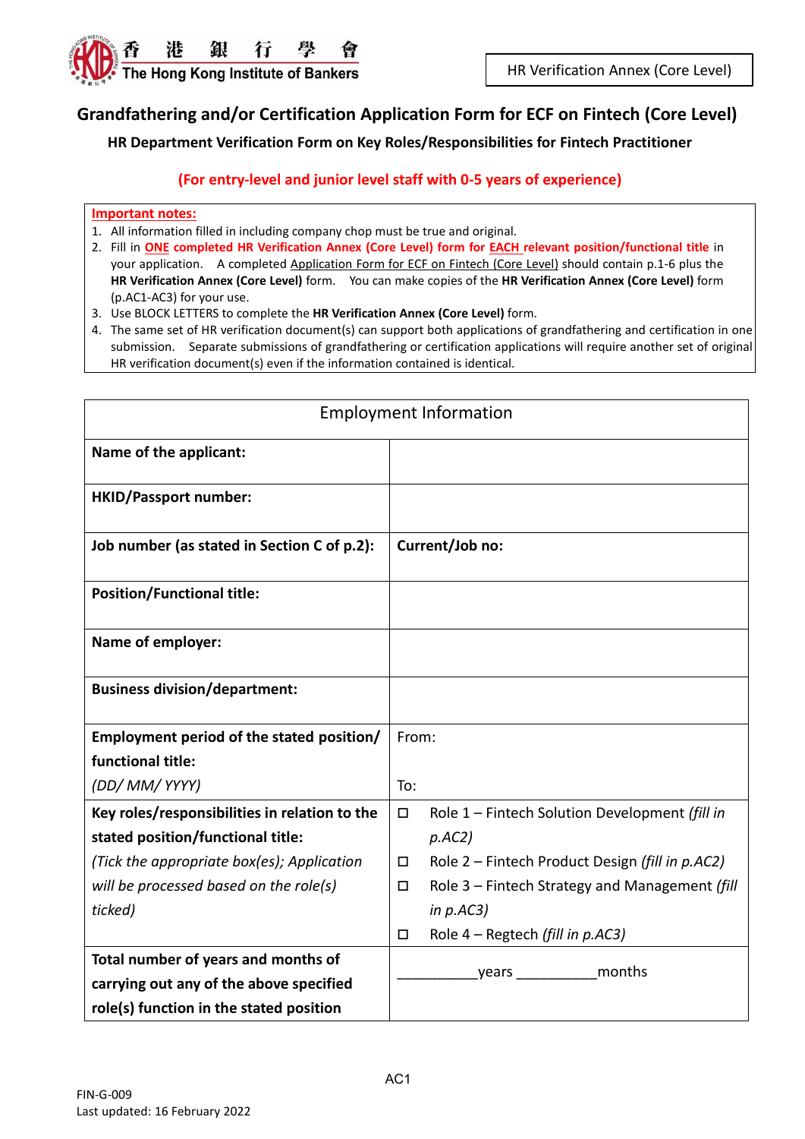

# **Grandfathering and/or Certification Application Form for ECF on Fintech (Core Level)**

**HR Department Verification Form on Key Roles/Responsibilities for Fintech Practitioner**

#### **(For entry-level and junior level staff with 0-5 years of experience)**

#### **Important notes:**

- 1. All information filled in including company chop must be true and original.
- 2. Fill in **ONE completed HR Verification Annex (Core Level) form for EACH relevant position/functional title** in your application. A completed Application Form for ECF on Fintech (Core Level) should contain p.1-6 plus the **HR Verification Annex (Core Level)** form. You can make copies of the **HR Verification Annex (Core Level)** form (p.AC1-AC3) for your use.
- 3. Use BLOCK LETTERS to complete the **HR Verification Annex (Core Level)** form.
- 4. The same set of HR verification document(s) can support both applications of grandfathering and certification in one submission. Separate submissions of grandfathering or certification applications will require another set of original HR verification document(s) even if the information contained is identical.

| <b>Employment Information</b>                 |                                                          |  |  |
|-----------------------------------------------|----------------------------------------------------------|--|--|
| Name of the applicant:                        |                                                          |  |  |
| <b>HKID/Passport number:</b>                  |                                                          |  |  |
| Job number (as stated in Section C of p.2):   | Current/Job no:                                          |  |  |
| <b>Position/Functional title:</b>             |                                                          |  |  |
| Name of employer:                             |                                                          |  |  |
| <b>Business division/department:</b>          |                                                          |  |  |
| Employment period of the stated position/     | From:                                                    |  |  |
| functional title:                             |                                                          |  |  |
| (DD/ MM/ YYYY)                                | To:                                                      |  |  |
| Key roles/responsibilities in relation to the | Role 1 - Fintech Solution Development (fill in<br>$\Box$ |  |  |
| stated position/functional title:             | p.AC2)                                                   |  |  |
| (Tick the appropriate box(es); Application    | Role 2 – Fintech Product Design (fill in p.AC2)<br>0     |  |  |
| will be processed based on the role(s)        | Role 3 - Fintech Strategy and Management (fill<br>0      |  |  |
| ticked)                                       | in $p.$ AC3)                                             |  |  |
|                                               | Role 4 - Regtech (fill in p.AC3)<br>$\Box$               |  |  |
| Total number of years and months of           |                                                          |  |  |
| carrying out any of the above specified       | years months                                             |  |  |
| role(s) function in the stated position       |                                                          |  |  |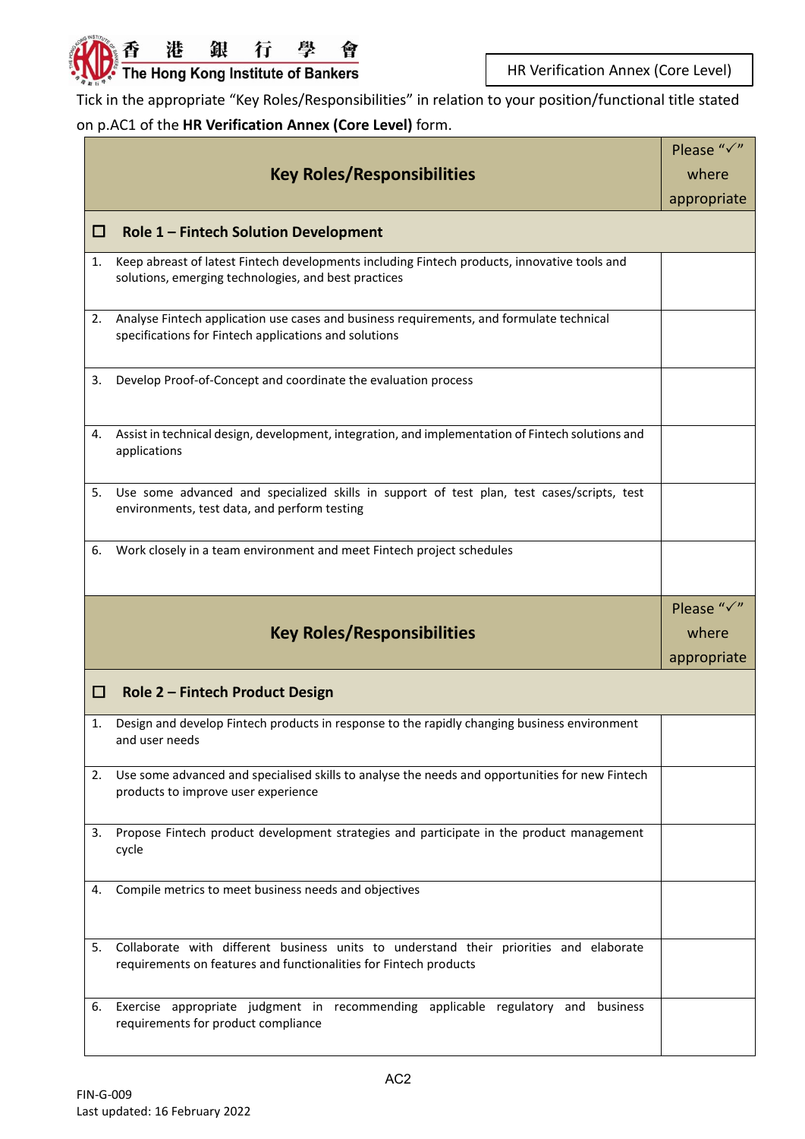

Tick in the appropriate "Key Roles/Responsibilities" in relation to your position/functional title stated on p.AC1 of the **HR Verification Annex (Core Level)** form.

|    |                                                                                                                                                             | Please "√"  |
|----|-------------------------------------------------------------------------------------------------------------------------------------------------------------|-------------|
|    | <b>Key Roles/Responsibilities</b>                                                                                                                           | where       |
|    |                                                                                                                                                             | appropriate |
| □  | Role 1 - Fintech Solution Development                                                                                                                       |             |
| 1. | Keep abreast of latest Fintech developments including Fintech products, innovative tools and<br>solutions, emerging technologies, and best practices        |             |
| 2. | Analyse Fintech application use cases and business requirements, and formulate technical<br>specifications for Fintech applications and solutions           |             |
| 3. | Develop Proof-of-Concept and coordinate the evaluation process                                                                                              |             |
| 4. | Assist in technical design, development, integration, and implementation of Fintech solutions and<br>applications                                           |             |
| 5. | Use some advanced and specialized skills in support of test plan, test cases/scripts, test<br>environments, test data, and perform testing                  |             |
| 6. | Work closely in a team environment and meet Fintech project schedules                                                                                       |             |
|    |                                                                                                                                                             | Please "√"  |
|    | <b>Key Roles/Responsibilities</b>                                                                                                                           | where       |
|    |                                                                                                                                                             |             |
|    |                                                                                                                                                             | appropriate |
| □  | Role 2 - Fintech Product Design                                                                                                                             |             |
| 1. | Design and develop Fintech products in response to the rapidly changing business environment<br>and user needs                                              |             |
| 2. | Use some advanced and specialised skills to analyse the needs and opportunities for new Fintech<br>products to improve user experience                      |             |
| 3. | Propose Fintech product development strategies and participate in the product management<br>cycle                                                           |             |
| 4. | Compile metrics to meet business needs and objectives                                                                                                       |             |
| 5. | Collaborate with different business units to understand their priorities and elaborate<br>requirements on features and functionalities for Fintech products |             |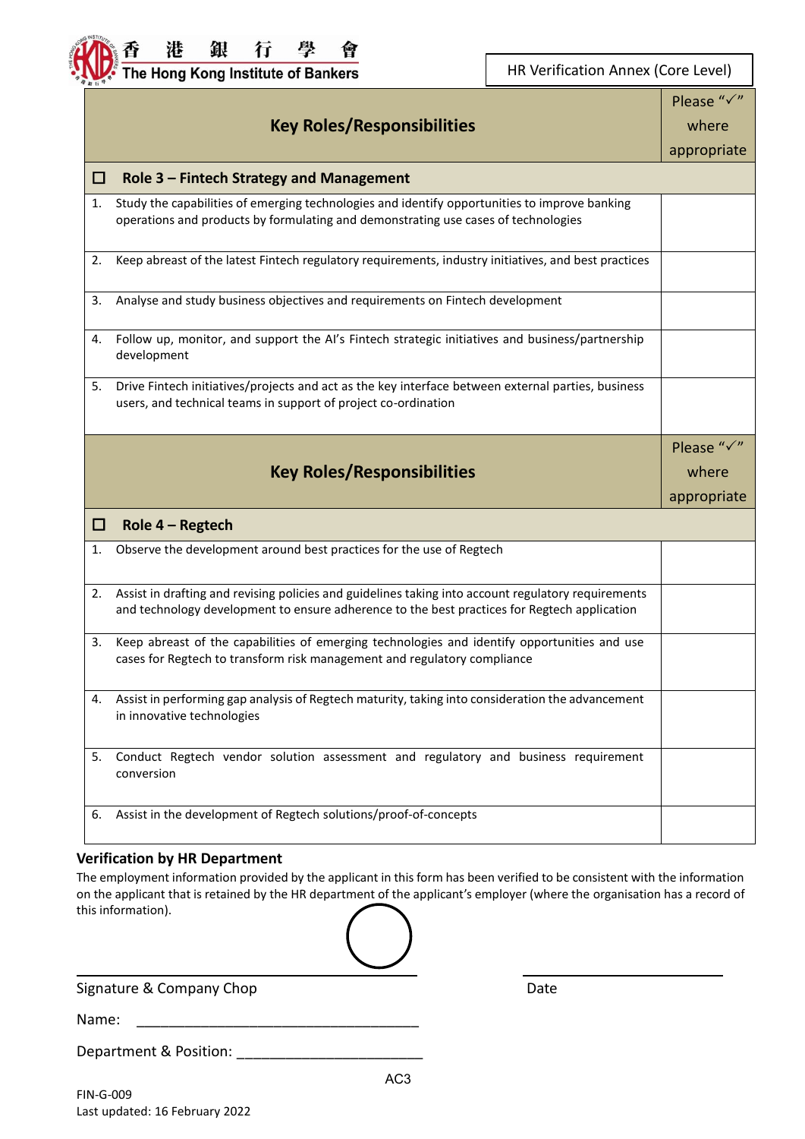|    | 港<br>銀<br>行                                                                                                                                                                                         |  |                         |  |  |
|----|-----------------------------------------------------------------------------------------------------------------------------------------------------------------------------------------------------|--|-------------------------|--|--|
|    | The Hong Kong Institute of Bankers<br>HR Verification Annex (Core Level)                                                                                                                            |  |                         |  |  |
|    |                                                                                                                                                                                                     |  | Please " $\checkmark$ " |  |  |
|    | <b>Key Roles/Responsibilities</b>                                                                                                                                                                   |  | where                   |  |  |
|    |                                                                                                                                                                                                     |  | appropriate             |  |  |
| □  | Role 3 - Fintech Strategy and Management                                                                                                                                                            |  |                         |  |  |
| 1. | Study the capabilities of emerging technologies and identify opportunities to improve banking                                                                                                       |  |                         |  |  |
|    | operations and products by formulating and demonstrating use cases of technologies                                                                                                                  |  |                         |  |  |
| 2. | Keep abreast of the latest Fintech regulatory requirements, industry initiatives, and best practices                                                                                                |  |                         |  |  |
|    |                                                                                                                                                                                                     |  |                         |  |  |
| 3. | Analyse and study business objectives and requirements on Fintech development                                                                                                                       |  |                         |  |  |
| 4. | Follow up, monitor, and support the AI's Fintech strategic initiatives and business/partnership                                                                                                     |  |                         |  |  |
|    | development                                                                                                                                                                                         |  |                         |  |  |
| 5. | Drive Fintech initiatives/projects and act as the key interface between external parties, business                                                                                                  |  |                         |  |  |
|    | users, and technical teams in support of project co-ordination                                                                                                                                      |  |                         |  |  |
|    |                                                                                                                                                                                                     |  | Please "√"              |  |  |
|    | <b>Key Roles/Responsibilities</b>                                                                                                                                                                   |  |                         |  |  |
|    |                                                                                                                                                                                                     |  | appropriate             |  |  |
| □  | Role $4 -$ Regtech                                                                                                                                                                                  |  |                         |  |  |
| 1. | Observe the development around best practices for the use of Regtech                                                                                                                                |  |                         |  |  |
|    |                                                                                                                                                                                                     |  |                         |  |  |
| 2. | Assist in drafting and revising policies and guidelines taking into account regulatory requirements<br>and technology development to ensure adherence to the best practices for Regtech application |  |                         |  |  |
| 3. | Keep abreast of the capabilities of emerging technologies and identify opportunities and use                                                                                                        |  |                         |  |  |
|    | cases for Regtech to transform risk management and regulatory compliance                                                                                                                            |  |                         |  |  |
|    |                                                                                                                                                                                                     |  |                         |  |  |
| 4. | Assist in performing gap analysis of Regtech maturity, taking into consideration the advancement<br>in innovative technologies                                                                      |  |                         |  |  |
|    |                                                                                                                                                                                                     |  |                         |  |  |
| 5. | Conduct Regtech vendor solution assessment and regulatory and business requirement<br>conversion                                                                                                    |  |                         |  |  |
|    |                                                                                                                                                                                                     |  |                         |  |  |
| 6. | Assist in the development of Regtech solutions/proof-of-concepts                                                                                                                                    |  |                         |  |  |
|    |                                                                                                                                                                                                     |  |                         |  |  |
|    | <b>Verification by HR Department</b>                                                                                                                                                                |  |                         |  |  |

The employment information provided by the applicant in this form has been verified to be consistent with the information on the applicant that is retained by the HR department of the applicant's employer (where the organisation has a record of this information).

| Signature & Company Chop |     | Date |
|--------------------------|-----|------|
| Name:                    |     |      |
| Department & Position:   |     |      |
| FIN C.000                | AC3 |      |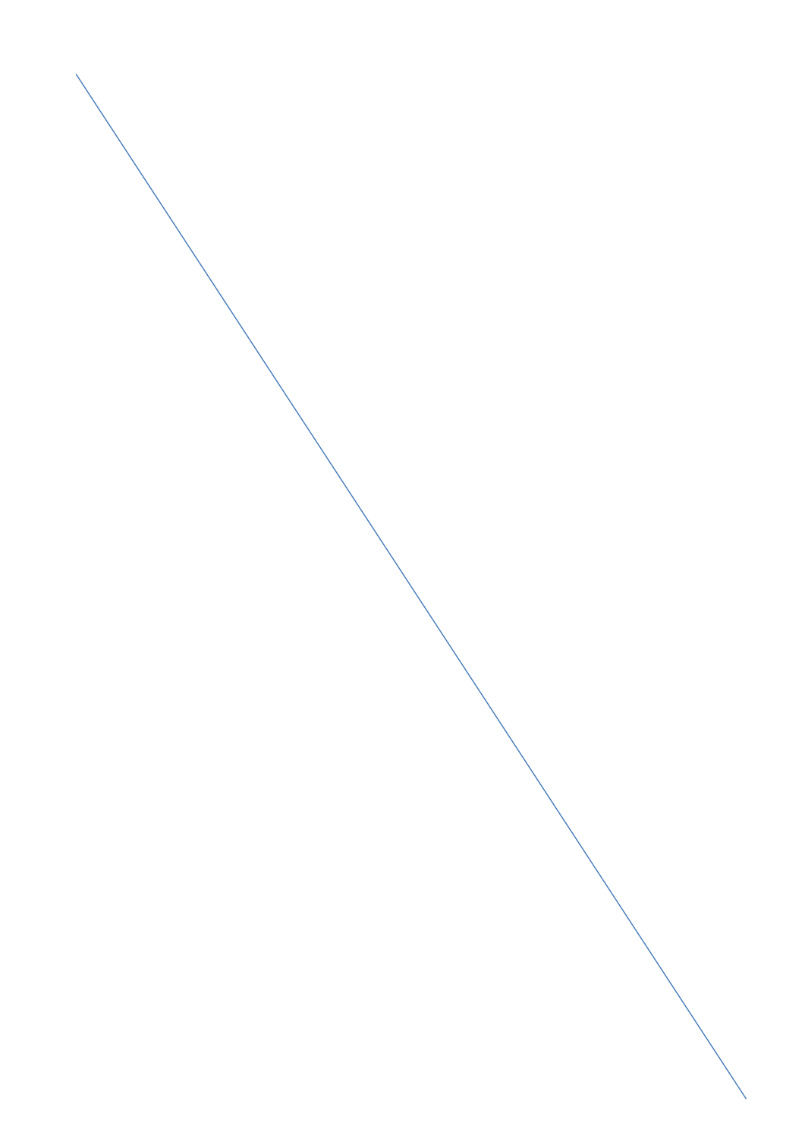